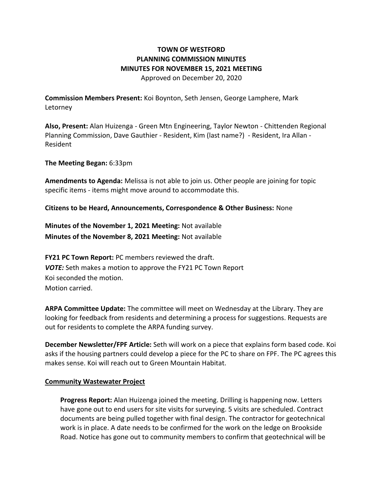## **TOWN OF WESTFORD PLANNING COMMISSION MINUTES MINUTES FOR NOVEMBER 15, 2021 MEETING**  Approved on December 20, 2020

**Commission Members Present:** Koi Boynton, Seth Jensen, George Lamphere, Mark Letorney

**Also, Present:** Alan Huizenga - Green Mtn Engineering, Taylor Newton - Chittenden Regional Planning Commission, Dave Gauthier - Resident, Kim (last name?) - Resident, Ira Allan - Resident

**The Meeting Began:** 6:33pm

**Amendments to Agenda:** Melissa is not able to join us. Other people are joining for topic specific items - items might move around to accommodate this.

**Citizens to be Heard, Announcements, Correspondence & Other Business:** None

**Minutes of the November 1, 2021 Meeting:** Not available **Minutes of the November 8, 2021 Meeting:** Not available

**FY21 PC Town Report:** PC members reviewed the draft. *VOTE:* Seth makes a motion to approve the FY21 PC Town Report Koi seconded the motion. Motion carried.

**ARPA Committee Update:** The committee will meet on Wednesday at the Library. They are looking for feedback from residents and determining a process for suggestions. Requests are out for residents to complete the ARPA funding survey.

**December Newsletter/FPF Article:** Seth will work on a piece that explains form based code. Koi asks if the housing partners could develop a piece for the PC to share on FPF. The PC agrees this makes sense. Koi will reach out to Green Mountain Habitat.

## **Community Wastewater Project**

**Progress Report:** Alan Huizenga joined the meeting. Drilling is happening now. Letters have gone out to end users for site visits for surveying. 5 visits are scheduled. Contract documents are being pulled together with final design. The contractor for geotechnical work is in place. A date needs to be confirmed for the work on the ledge on Brookside Road. Notice has gone out to community members to confirm that geotechnical will be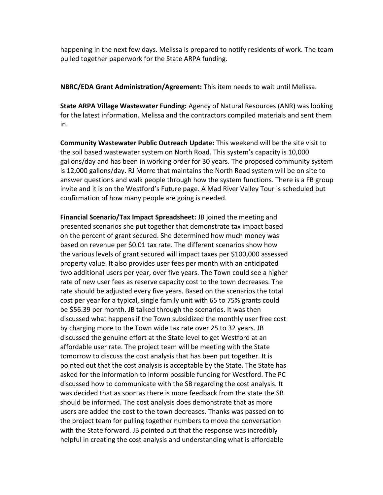happening in the next few days. Melissa is prepared to notify residents of work. The team pulled together paperwork for the State ARPA funding.

**NBRC/EDA Grant Administration/Agreement:** This item needs to wait until Melissa.

**State ARPA Village Wastewater Funding:** Agency of Natural Resources (ANR) was looking for the latest information. Melissa and the contractors compiled materials and sent them in.

**Community Wastewater Public Outreach Update:** This weekend will be the site visit to the soil based wastewater system on North Road. This system's capacity is 10,000 gallons/day and has been in working order for 30 years. The proposed community system is 12,000 gallons/day. RJ Morre that maintains the North Road system will be on site to answer questions and walk people through how the system functions. There is a FB group invite and it is on the Westford's Future page. A Mad River Valley Tour is scheduled but confirmation of how many people are going is needed.

**Financial Scenario/Tax Impact Spreadsheet:** JB joined the meeting and presented scenarios she put together that demonstrate tax impact based on the percent of grant secured. She determined how much money was based on revenue per \$0.01 tax rate. The different scenarios show how the various levels of grant secured will impact taxes per \$100,000 assessed property value. It also provides user fees per month with an anticipated two additional users per year, over five years. The Town could see a higher rate of new user fees as reserve capacity cost to the town decreases. The rate should be adjusted every five years. Based on the scenarios the total cost per year for a typical, single family unit with 65 to 75% grants could be \$56.39 per month. JB talked through the scenarios. It was then discussed what happens if the Town subsidized the monthly user free cost by charging more to the Town wide tax rate over 25 to 32 years. JB discussed the genuine effort at the State level to get Westford at an affordable user rate. The project team will be meeting with the State tomorrow to discuss the cost analysis that has been put together. It is pointed out that the cost analysis is acceptable by the State. The State has asked for the information to inform possible funding for Westford. The PC discussed how to communicate with the SB regarding the cost analysis. It was decided that as soon as there is more feedback from the state the SB should be informed. The cost analysis does demonstrate that as more users are added the cost to the town decreases. Thanks was passed on to the project team for pulling together numbers to move the conversation with the State forward. JB pointed out that the response was incredibly helpful in creating the cost analysis and understanding what is affordable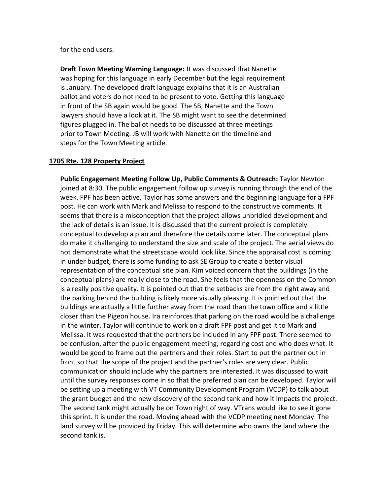for the end users.

**Draft Town Meeting Warning Language:** It was discussed that Nanette was hoping for this language in early December but the legal requirement is January. The developed draft language explains that it is an Australian ballot and voters do not need to be present to vote. Getting this language in front of the SB again would be good. The SB, Nanette and the Town lawyers should have a look at it. The SB might want to see the determined figures plugged in. The ballot needs to be discussed at three meetings prior to Town Meeting. JB will work with Nanette on the timeline and steps for the Town Meeting article.

## **1705 Rte. 128 Property Project**

**Public Engagement Meeting Follow Up, Public Comments & Outreach:** Taylor Newton joined at 8:30. The public engagement follow up survey is running through the end of the week. FPF has been active. Taylor has some answers and the beginning language for a FPF post. He can work with Mark and Melissa to respond to the constructive comments. It seems that there is a misconception that the project allows unbridled development and the lack of details is an issue. It is discussed that the current project is completely conceptual to develop a plan and therefore the details come later. The conceptual plans do make it challenging to understand the size and scale of the project. The aerial views do not demonstrate what the streetscape would look like. Since the appraisal cost is coming in under budget, there is some funding to ask SE Group to create a better visual representation of the conceptual site plan. Kim voiced concern that the buildings (in the conceptual plans) are really close to the road**.** She feels that the openness on the Common is a really positive quality. It is pointed out that the setbacks are from the right away and the parking behind the building is likely more visually pleasing. It is pointed out that the buildings are actually a little further away from the road than the town office and a little closer than the Pigeon house. Ira reinforces that parking on the road would be a challenge in the winter. Taylor will continue to work on a draft FPF post and get it to Mark and Melissa. It was requested that the partners be included in any FPF post. There seemed to be confusion, after the public engagement meeting, regarding cost and who does what. It would be good to frame out the partners and their roles. Start to put the partner out in front so that the scope of the project and the partner's roles are very clear. Public communication should include why the partners are interested. It was discussed to wait until the survey responses come in so that the preferred plan can be developed. Taylor will be setting up a meeting with VT Community Development Program (VCDP) to talk about the grant budget and the new discovery of the second tank and how it impacts the project. The second tank might actually be on Town right of way. VTrans would like to see it gone this sprint. It is under the road. Moving ahead with the VCDP meeting next Monday. The land survey will be provided by Friday. This will determine who owns the land where the second tank is.